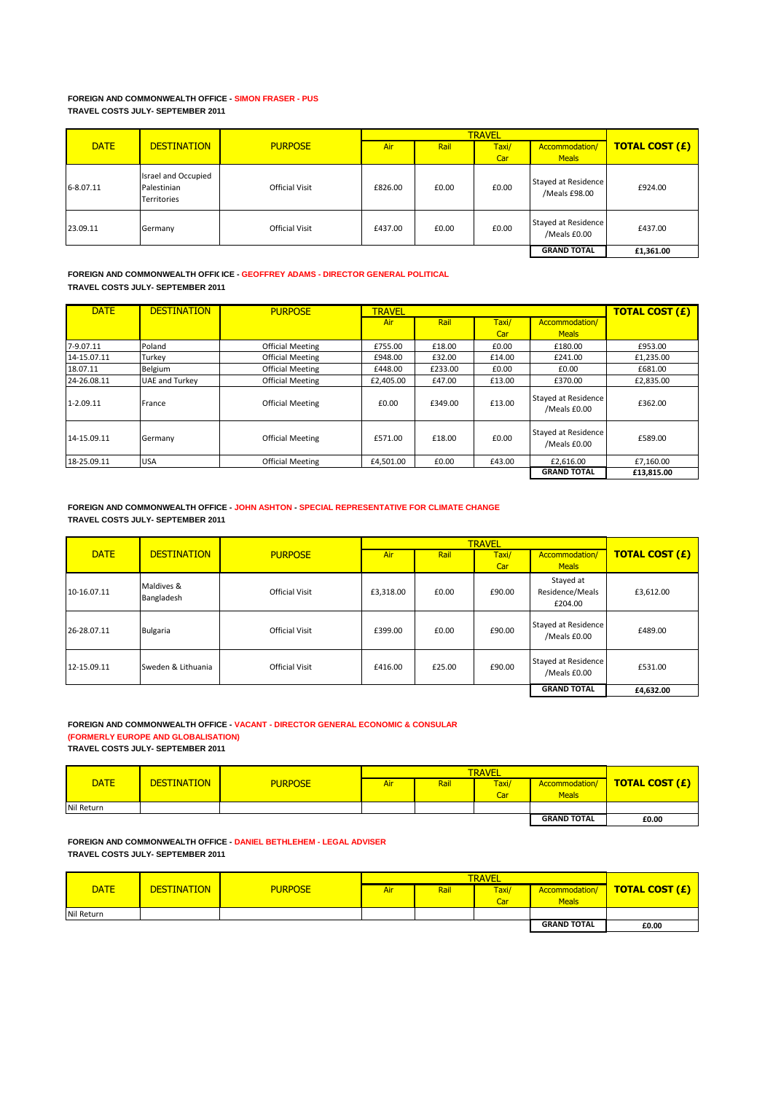#### **FOREIGN AND COMMONWEALTH OFFICE - SIMON FRASER - PUS TRAVEL COSTS JULY- SEPTEMBER 2011**

|             |                                                   |                       |         | <b>TRAVEL</b> |       |                                      |                       |  |
|-------------|---------------------------------------------------|-----------------------|---------|---------------|-------|--------------------------------------|-----------------------|--|
| <b>DATE</b> | <b>DESTINATION</b>                                | <b>PURPOSE</b>        | Air     | Rail          | Taxi/ | Accommodation/                       | <b>TOTAL COST (£)</b> |  |
|             |                                                   |                       |         |               | Car   | <b>Meals</b>                         |                       |  |
| 6-8.07.11   | Israel and Occupied<br>Palestinian<br>Territories | <b>Official Visit</b> | £826.00 | £0.00         | £0.00 | Stayed at Residence<br>/Meals £98.00 | £924.00               |  |
| 23.09.11    | Germany                                           | <b>Official Visit</b> | £437.00 | £0.00         | £0.00 | Stayed at Residence<br>/Meals £0.00  | £437.00               |  |
|             |                                                   |                       |         |               |       | <b>GRAND TOTAL</b>                   | £1,361.00             |  |

## **FOREIGN AND COMMONWEALTH OFFICICE - GEOFFREY ADAMS - DIRECTOR GENERAL POLITICAL TRAVEL COSTS JULY- SEPTEMBER 2011**

| <b>DATE</b> | <b>DESTINATION</b>    | <b>PURPOSE</b>          | <b>TRAVEL</b> |         |              |                                     | <b>TOTAL COST (£)</b> |
|-------------|-----------------------|-------------------------|---------------|---------|--------------|-------------------------------------|-----------------------|
|             |                       |                         | <b>Air</b>    | Rail    | Taxi/<br>Car | Accommodation/<br><b>Meals</b>      |                       |
| 7-9.07.11   | Poland                | <b>Official Meeting</b> | £755.00       | £18.00  | £0.00        | £180.00                             | £953.00               |
| 14-15.07.11 | Turkey                | <b>Official Meeting</b> | £948.00       | £32.00  | £14.00       | £241.00                             | £1,235.00             |
| 18.07.11    | Belgium               | <b>Official Meeting</b> | £448.00       | £233.00 | £0.00        | £0.00                               | £681.00               |
| 24-26.08.11 | <b>UAE and Turkey</b> | <b>Official Meeting</b> | £2.405.00     | £47.00  | £13.00       | £370.00                             | £2.835.00             |
| 1-2.09.11   | France                | <b>Official Meeting</b> | £0.00         | £349.00 | £13.00       | Stayed at Residence<br>/Meals £0.00 | £362.00               |
| 14-15.09.11 | Germany               | <b>Official Meeting</b> | £571.00       | £18.00  | £0.00        | Stayed at Residence<br>/Meals £0.00 | £589.00               |
| 18-25.09.11 | <b>USA</b>            | <b>Official Meeting</b> | £4,501.00     | £0.00   | £43.00       | £2,616.00                           | £7.160.00             |
|             |                       |                         |               |         |              | <b>GRAND TOTAL</b>                  | £13,815.00            |

# **FOREIGN AND COMMONWEALTH OFFICE - JOHN ASHTON - SPECIAL REPRESENTATIVE FOR CLIMATE CHANGE TRAVEL COSTS JULY- SEPTEMBER 2011**

|             |                          |                       |           |        | <b>TRAVEL</b> |                                         |                       |
|-------------|--------------------------|-----------------------|-----------|--------|---------------|-----------------------------------------|-----------------------|
| <b>DATE</b> | <b>DESTINATION</b>       | <b>PURPOSE</b>        | Air       | Rail   | Taxi/<br>Car  | Accommodation/<br><b>Meals</b>          | <b>TOTAL COST (£)</b> |
| 10-16.07.11 | Maldives &<br>Bangladesh | <b>Official Visit</b> | £3,318.00 | £0.00  | £90.00        | Stayed at<br>Residence/Meals<br>£204.00 | £3,612.00             |
| 26-28.07.11 | <b>Bulgaria</b>          | Official Visit        | £399.00   | £0.00  | £90.00        | Stayed at Residence<br>/Meals £0.00     | £489.00               |
| 12-15.09.11 | Sweden & Lithuania       | <b>Official Visit</b> | £416.00   | £25.00 | £90.00        | Stayed at Residence<br>/Meals £0.00     | £531.00               |
|             |                          |                       |           |        |               | <b>GRAND TOTAL</b>                      | £4,632.00             |

#### **FOREIGN AND COMMONWEALTH OFFICE - VACANT - DIRECTOR GENERAL ECONOMIC & CONSULAR (FORMERLY EUROPE AND GLOBALISATION)**

**TRAVEL COSTS JULY- SEPTEMBER 2011**

|             |                    |                |     | <b>TRAVEL</b> |       |                    |                       |  |
|-------------|--------------------|----------------|-----|---------------|-------|--------------------|-----------------------|--|
| <b>DATE</b> | <b>DESTINATION</b> | <b>PURPOSE</b> | Air | Rail          | Taxi/ | Accommodation/     | <b>TOTAL COST (£)</b> |  |
|             |                    |                |     |               | Car   | <b>Meals</b>       |                       |  |
| Nil Return  |                    |                |     |               |       |                    |                       |  |
|             |                    |                |     |               |       | <b>GRAND TOTAL</b> | £0.00                 |  |

**FOREIGN AND COMMONWEALTH OFFICE - DANIEL BETHLEHEM - LEGAL ADVISER TRAVEL COSTS JULY- SEPTEMBER 2011**

|             |                    |                |     | <b>TRAVEL</b> |       |                    |                       |  |
|-------------|--------------------|----------------|-----|---------------|-------|--------------------|-----------------------|--|
| <b>DATE</b> | <b>DESTINATION</b> | <b>PURPOSE</b> | Air | Rail          | Taxi/ | Accommodation/     | <b>TOTAL COST (£)</b> |  |
|             |                    |                |     |               | Car   | <b>Meals</b>       |                       |  |
| Nil Return  |                    |                |     |               |       |                    |                       |  |
|             |                    |                |     |               |       | <b>GRAND TOTAL</b> | £0.00                 |  |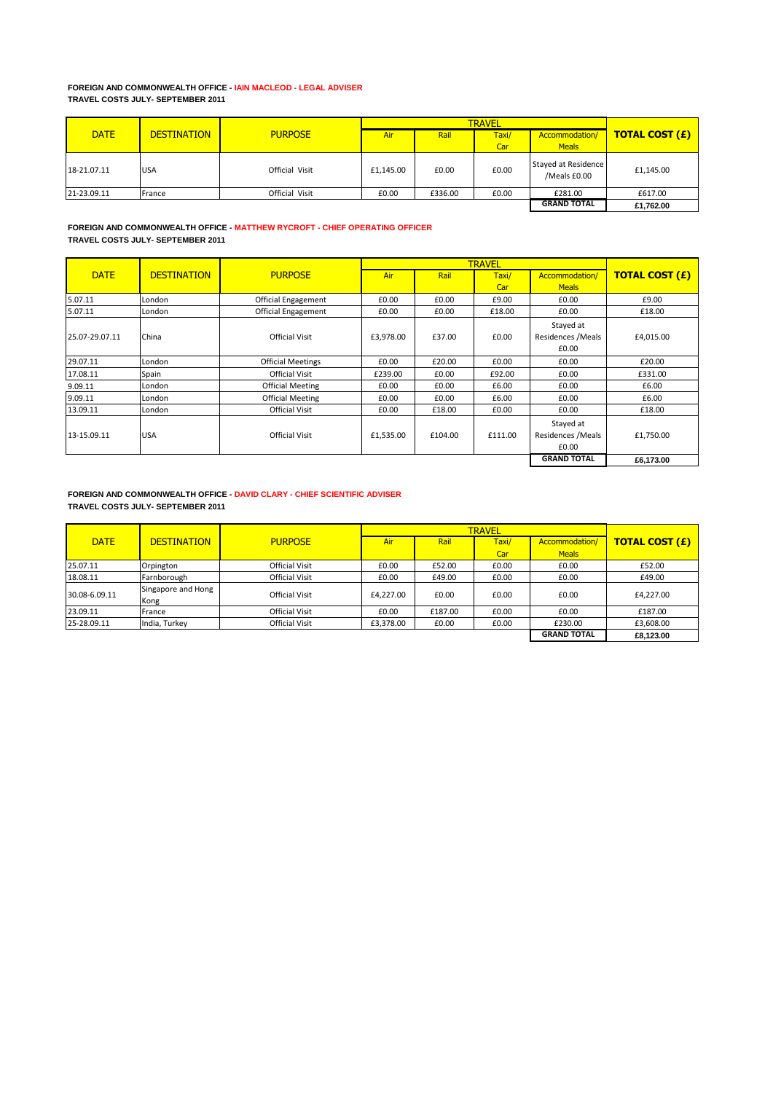# **FOREIGN AND COMMONWEALTH OFFICE - IAIN MACLEOD - LEGAL ADVISER TRAVEL COSTS JULY- SEPTEMBER 2011**

|             |                    |                |           | <b>TRAVEL</b> |       |                                     |                       |  |
|-------------|--------------------|----------------|-----------|---------------|-------|-------------------------------------|-----------------------|--|
| <b>DATE</b> | <b>DESTINATION</b> | <b>PURPOSE</b> | Air       | Rail          | Taxi/ | Accommodation/                      | <b>TOTAL COST (£)</b> |  |
|             |                    |                |           |               | Car   | <b>Meals</b>                        |                       |  |
| 18-21.07.11 | <b>USA</b>         | Official Visit | £1,145.00 | £0.00         | £0.00 | Stayed at Residence<br>/Meals £0.00 | £1,145.00             |  |
| 21-23.09.11 | France             | Official Visit | £0.00     | £336.00       | £0.00 | £281.00                             | £617.00               |  |
|             |                    |                |           |               |       | <b>GRAND TOTAL</b>                  | £1,762.00             |  |

# **FOREIGN AND COMMONWEALTH OFFICE - MATTHEW RYCROFT - CHIEF OPERATING OFFICER TRAVEL COSTS JULY- SEPTEMBER 2011**

|                |                    |                            |           |         | <b>TRAVEL</b> |                    |                       |
|----------------|--------------------|----------------------------|-----------|---------|---------------|--------------------|-----------------------|
| <b>DATE</b>    | <b>DESTINATION</b> | <b>PURPOSE</b>             | Air       | Rail    | Taxi/         | Accommodation/     | <b>TOTAL COST (£)</b> |
|                |                    |                            |           |         | Car           | <b>Meals</b>       |                       |
| 5.07.11        | London             | <b>Official Engagement</b> | £0.00     | £0.00   | £9.00         | £0.00              | £9.00                 |
| 5.07.11        | London             | <b>Official Engagement</b> | £0.00     | £0.00   | £18.00        | £0.00              | £18.00                |
|                |                    |                            |           |         |               | Stayed at          |                       |
| 25.07-29.07.11 | China              | <b>Official Visit</b>      | £3,978.00 | £37.00  | £0.00         | Residences / Meals | £4,015.00             |
|                |                    |                            |           |         |               | £0.00              |                       |
| 29.07.11       | London             | <b>Official Meetings</b>   | £0.00     | £20.00  | £0.00         | £0.00              | £20.00                |
| 17.08.11       | Spain              | <b>Official Visit</b>      | £239.00   | £0.00   | £92.00        | £0.00              | £331.00               |
| 9.09.11        | London             | Official Meeting           | £0.00     | £0.00   | £6.00         | £0.00              | £6.00                 |
| 9.09.11        | London             | Official Meeting           | £0.00     | £0.00   | £6.00         | £0.00              | £6.00                 |
| 13.09.11       | London             | <b>Official Visit</b>      | £0.00     | £18.00  | £0.00         | £0.00              | £18.00                |
|                |                    |                            |           |         |               | Stayed at          |                       |
| 13-15.09.11    | <b>USA</b>         | <b>Official Visit</b>      | £1,535.00 | £104.00 | £111.00       | Residences / Meals | £1,750.00             |
|                |                    |                            |           |         |               | £0.00              |                       |
|                |                    |                            |           |         |               | <b>GRAND TOTAL</b> | £6,173.00             |

# **FOREIGN AND COMMONWEALTH OFFICE - DAVID CLARY - CHIEF SCIENTIFIC ADVISER TRAVEL COSTS JULY- SEPTEMBER 2011**

|               |                            |                       |           | <b>TRAVEL</b> |       |                    |                       |  |
|---------------|----------------------------|-----------------------|-----------|---------------|-------|--------------------|-----------------------|--|
| <b>DATE</b>   | <b>DESTINATION</b>         | <b>PURPOSE</b>        | Air       | Rail          | Taxi/ | Accommodation/     | <b>TOTAL COST (£)</b> |  |
|               |                            |                       |           |               | Car   | <b>Meals</b>       |                       |  |
| 25.07.11      | Orpington                  | <b>Official Visit</b> | £0.00     | £52.00        | £0.00 | £0.00              | £52.00                |  |
| 18.08.11      | Farnborough                | <b>Official Visit</b> | £0.00     | £49.00        | £0.00 | £0.00              | £49.00                |  |
| 30.08-6.09.11 | Singapore and Hong<br>Kong | <b>Official Visit</b> | £4.227.00 | £0.00         | £0.00 | £0.00              | £4,227.00             |  |
| 23.09.11      | France                     | <b>Official Visit</b> | £0.00     | £187.00       | £0.00 | £0.00              | £187.00               |  |
| 25-28.09.11   | India, Turkey              | <b>Official Visit</b> | £3,378.00 | £0.00         | £0.00 | £230.00            | £3,608.00             |  |
|               |                            |                       |           |               |       | <b>GRAND TOTAL</b> | £8,123.00             |  |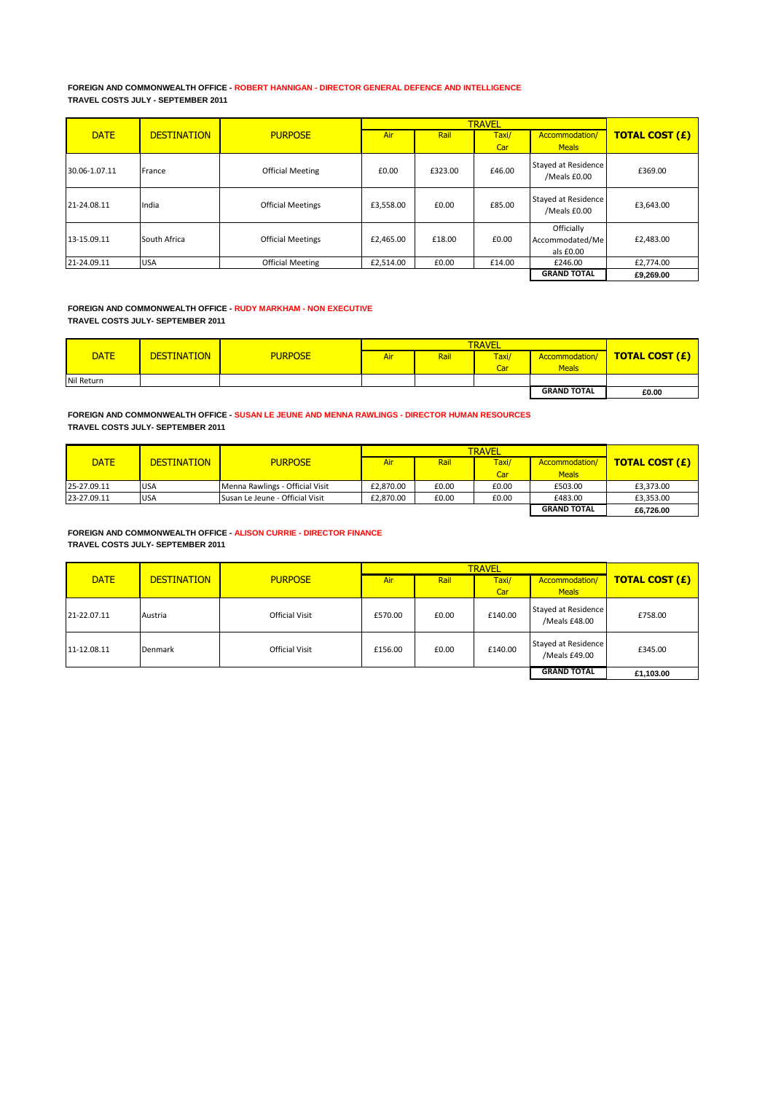### **FOREIGN AND COMMONWEALTH OFFICE - ROBERT HANNIGAN - DIRECTOR GENERAL DEFENCE AND INTELLIGENCE TRAVEL COSTS JULY - SEPTEMBER 2011**

|               |                    |                          |           |         | <b>TRAVEL</b> |                                            |                       |
|---------------|--------------------|--------------------------|-----------|---------|---------------|--------------------------------------------|-----------------------|
| <b>DATE</b>   | <b>DESTINATION</b> | <b>PURPOSE</b>           | Air       | Rail    | Taxi/         | Accommodation/                             | <b>TOTAL COST (£)</b> |
|               |                    |                          |           |         | Car           | <b>Meals</b>                               |                       |
| 30.06-1.07.11 | France             | <b>Official Meeting</b>  | £0.00     | £323.00 | £46.00        | Stayed at Residence<br>/Meals £0.00        | £369.00               |
| 21-24.08.11   | India              | <b>Official Meetings</b> | £3,558.00 | £0.00   | £85.00        | Stayed at Residence<br>/Meals £0.00        | £3,643.00             |
| 13-15.09.11   | South Africa       | <b>Official Meetings</b> | £2,465.00 | £18.00  | £0.00         | Officially<br>Accommodated/Me<br>als £0.00 | £2,483.00             |
| 21-24.09.11   | <b>USA</b>         | <b>Official Meeting</b>  | £2,514.00 | £0.00   | £14.00        | £246.00                                    | £2,774.00             |
|               |                    |                          |           |         |               | <b>GRAND TOTAL</b>                         | £9,269.00             |

# **FOREIGN AND COMMONWEALTH OFFICE - RUDY MARKHAM - NON EXECUTIVE TRAVEL COSTS JULY- SEPTEMBER 2011**

| <b>DATE</b> | <b>DESTINATION</b> | <b>PURPOSE</b> | <b>Air</b> | Rail | <b>Taxi/</b> | Accommodation/     | <b>TOTAL COST (£)</b> |
|-------------|--------------------|----------------|------------|------|--------------|--------------------|-----------------------|
|             |                    |                |            |      | Car          | <b>Meals</b>       |                       |
| Nil Return  |                    |                |            |      |              |                    |                       |
|             |                    |                |            |      |              | <b>GRAND TOTAL</b> | £0.00                 |

**FOREIGN AND COMMONWEALTH OFFICE - SUSAN LE JEUNE AND MENNA RAWLINGS - DIRECTOR HUMAN RESOURCES TRAVEL COSTS JULY- SEPTEMBER 2011**

| <b>DATE</b> | <b>DESTINATION</b> | <b>PURPOSE</b>                         | Air       | Rail  | Taxi/ | Accommodation/     | <b>TOTAL COST (£)</b> |
|-------------|--------------------|----------------------------------------|-----------|-------|-------|--------------------|-----------------------|
|             |                    |                                        |           |       | Car   | Meals              |                       |
| 25-27.09.11 | <b>USA</b>         | Menna Rawlings - Official Visit        | £2.870.00 | £0.00 | £0.00 | £503.00            | £3,373.00             |
| 23-27.09.11 | <b>USA</b>         | <b>Susan Le Jeune - Official Visit</b> | £2.870.00 | £0.00 | £0.00 | £483.00            | £3,353.00             |
|             |                    |                                        |           |       |       | <b>GRAND TOTAL</b> | £6.726.00             |

### **FOREIGN AND COMMONWEALTH OFFICE - ALISON CURRIE - DIRECTOR FINANCE TRAVEL COSTS JULY- SEPTEMBER 2011**

|             |                    |                       |         | <b>TRAVEL</b> |         |                                      |                       |  |
|-------------|--------------------|-----------------------|---------|---------------|---------|--------------------------------------|-----------------------|--|
| <b>DATE</b> | <b>DESTINATION</b> | <b>PURPOSE</b>        | Air     | Rail          | Taxi/   | Accommodation/                       | <b>TOTAL COST (£)</b> |  |
|             |                    |                       |         |               | Car     | <b>Meals</b>                         |                       |  |
| 21-22.07.11 | Austria            | <b>Official Visit</b> | £570.00 | £0.00         | £140.00 | Stayed at Residence<br>/Meals £48.00 | £758.00               |  |
| 11-12.08.11 | Denmark            | <b>Official Visit</b> | £156.00 | £0.00         | £140.00 | Stayed at Residence<br>/Meals £49.00 | £345.00               |  |
|             |                    |                       |         |               |         | <b>GRAND TOTAL</b>                   | £1,103.00             |  |